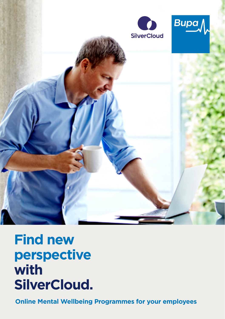

# **Find new perspective with SilverCloud.**

**Online Mental Wellbeing Programmes for your employees**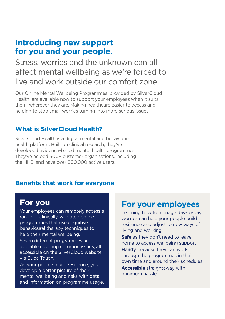### **Introducing new support for you and your people.**

Stress, worries and the unknown can all afect mental wellbeing as we're forced to live and work outside our comfort zone.

Our Online Mental Wellbeing Programmes, provided by SilverCloud Health, are available now to support your employees when it suits them, wherever they are. Making healthcare easier to access and helping to stop small worries turning into more serious issues.

#### **What is SilverCloud Health?**

SilverCloud Health is a digital mental and behavioural health platform. Built on clinical research, they've developed evidence-based mental health programmes. They've helped 500+ customer organisations, including the NHS, and have over 800,000 active users.

#### **Benefits that work for everyone**

range of clinically validated online Nour employees can remotely access a<br>
range of clinically validated online<br>
programmes that use cognitive<br>
behavioural therapy techniques to<br>
help their mental wellbeing.<br>
Safe as they don't need to leave<br>
here and adjust

and information on programme usage.

## **For you For your employees**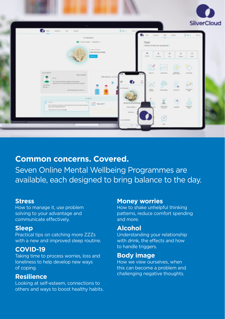

#### **Common concerns. Covered.**

Seven Online Mental Wellbeing Programmes are available, each designed to bring balance to the day.

#### **Stress**

How to manage it, use problem solving to your advantage and communicate efectively.

#### **Sleep**

Practical tips on catching more ZZZs with a new and improved sleep routine.

#### **COVID-19**

Taking time to process worries, loss and loneliness to help develop new ways of coping.

#### **Resilience**

Looking at self-esteem, connections to others and ways to boost healthy habits.

#### **Money worries**

How to shake unhelpful thinking patterns, reduce comfort spending and more.

#### **Alcohol**

Understanding your relationship with drink, the effects and how to handle triggers.

#### **Body image**

How we view ourselves, when this can become a problem and challenging negative thoughts.